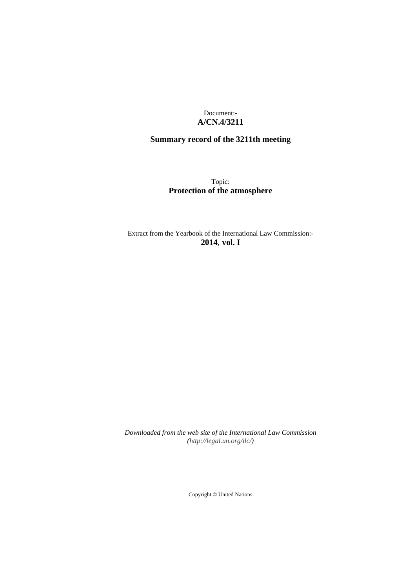## Document:- **A/CN.4/3211**

# **Summary record of the 3211th meeting**

# Topic: **Protection of the atmosphere**

Extract from the Yearbook of the International Law Commission:- **2014**, **vol. I**

*Downloaded from the web site of the International Law Commission [\(http://legal.un.org/ilc/\)](http://legal.un.org/ilc/)*

Copyright © United Nations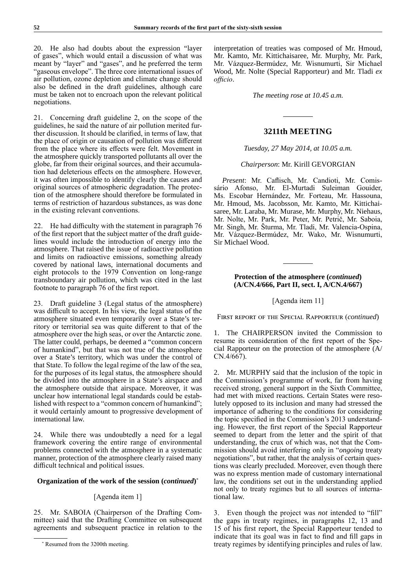20. He also had doubts about the expression "layer of gases", which would entail a discussion of what was meant by "layer" and "gases", and he preferred the term "gaseous envelope". The three core international issues of air pollution, ozone depletion and climate change should also be defined in the draft guidelines, although care must be taken not to encroach upon the relevant political negotiations.

21. Concerning draft guideline 2, on the scope of the guidelines, he said the nature of air pollution merited further discussion. It should be clarified, in terms of law, that the place of origin or causation of pollution was different from the place where its effects were felt. Movement in the atmosphere quickly transported pollutants all over the globe, far from their original sources, and their accumulation had deleterious effects on the atmosphere. However, it was often impossible to identify clearly the causes and original sources of atmospheric degradation. The protection of the atmosphere should therefore be formulated in terms of restriction of hazardous substances, as was done in the existing relevant conventions.

22. He had difficulty with the statement in paragraph 76 of the first report that the subject matter of the draft guidelines would include the introduction of energy into the atmosphere. That raised the issue of radioactive pollution and limits on radioactive emissions, something already covered by national laws, international documents and eight protocols to the 1979 Convention on long-range transboundary air pollution, which was cited in the last footnote to paragraph 76 of the first report.

23. Draft guideline 3 (Legal status of the atmosphere) was difficult to accept. In his view, the legal status of the atmosphere situated even temporarily over a State's territory or territorial sea was quite different to that of the atmosphere over the high seas, or over the Antarctic zone. The latter could, perhaps, be deemed a "common concern of humankind", but that was not true of the atmosphere over a State's territory, which was under the control of that State. To follow the legal regime of the law of the sea, for the purposes of its legal status, the atmosphere should be divided into the atmosphere in a State's airspace and the atmosphere outside that airspace. Moreover, it was unclear how international legal standards could be established with respect to a "common concern of humankind"; it would certainly amount to progressive development of international law.

24. While there was undoubtedly a need for a legal framework covering the entire range of environmental problems connected with the atmosphere in a systematic manner, protection of the atmosphere clearly raised many difficult technical and political issues.

### **Organization of the work of the session (***continued***)** \*

#### [Agenda item 1]

25. Mr. SABOIA (Chairperson of the Drafting Committee) said that the Drafting Committee on subsequent agreements and subsequent practice in relation to the interpretation of treaties was composed of Mr. Hmoud, Mr. Kamto, Mr. Kittichaisaree, Mr. Murphy, Mr. Park, Mr. Vázquez-Bermúdez, Mr. Wisnumurti, Sir Michael Wood, Mr. Nolte (Special Rapporteur) and Mr. Tladi *ex officio*.

*The meeting rose at 10.45 a.m.*

#### **3211th MEETING**

### *Tuesday, 27 May 2014, at 10.05 a.m.*

#### *Chairperson*: Mr. Kirill GEVORGIAN

*Present*: Mr. Caflisch, Mr. Candioti, Mr. Comissário Afonso, Mr. El-Murtadi Suleiman Gouider, Ms. Escobar Hernández, Mr. Forteau, Mr. Hassouna, Mr. Hmoud, Ms. Jacobsson, Mr. Kamto, Mr. Kittichaisaree, Mr. Laraba, Mr. Murase, Mr. Murphy, Mr. Niehaus, Mr. Nolte, Mr. Park, Mr. Peter, Mr. Petrič, Mr. Saboia, Mr. Singh, Mr. Šturma, Mr. Tladi, Mr. Valencia-Ospina, Mr. Vázquez-Bermúdez, Mr. Wako, Mr. Wisnumurti, Sir Michael Wood.

### **Protection of the atmosphere (***continued***) (A/CN.4/666, Part II, sect. I, A/CN.4/667)**

#### [Agenda item 11]

First report of the Special Rapporteur (*continued*)

1. The CHAIRPERSON invited the Commission to resume its consideration of the first report of the Special Rapporteur on the protection of the atmosphere (A/ CN.4/667).

2. Mr. MURPHY said that the inclusion of the topic in the Commission's programme of work, far from having received strong, general support in the Sixth Committee, had met with mixed reactions. Certain States were resolutely opposed to its inclusion and many had stressed the importance of adhering to the conditions for considering the topic specified in the Commission's 2013 understanding. However, the first report of the Special Rapporteur seemed to depart from the letter and the spirit of that understanding, the crux of which was, not that the Commission should avoid interfering only in "*ongoing* treaty negotiations", but rather, that the analysis of certain questions was clearly precluded. Moreover, even though there was no express mention made of customary international law, the conditions set out in the understanding applied not only to treaty regimes but to all sources of international law.

3. Even though the project was *not* intended to "fill" the gaps in treaty regimes, in paragraphs 12, 13 and 15 of his first report, the Special Rapporteur tended to indicate that its goal was in fact to find and fill gaps in treaty regimes by identifying principles and rules of law.

<sup>\*</sup> Resumed from the 3200th meeting.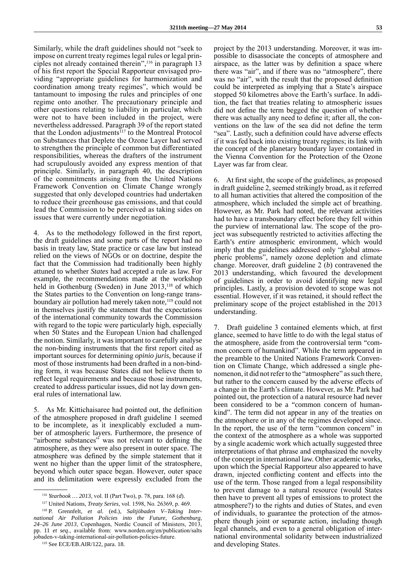Similarly, while the draft guidelines should not "seek to impose on current treaty regimes legal rules or legal principles not already contained therein",116 in paragraph 13 of his first report the Special Rapporteur envisaged providing "appropriate guidelines for harmonization and coordination among treaty regimes", which would be tantamount to imposing the rules and principles of one regime onto another. The precautionary principle and other questions relating to liability in particular, which were not to have been included in the project, were nevertheless addressed. Paragraph 39 of the report stated that the London adjustments $117$  to the Montreal Protocol on Substances that Deplete the Ozone Layer had served to strengthen the principle of common but differentiated responsibilities, whereas the drafters of the instrument had scrupulously avoided any express mention of that principle. Similarly, in paragraph 40, the description of the commitments arising from the United Nations Framework Convention on Climate Change wrongly suggested that only developed countries had undertaken to reduce their greenhouse gas emissions, and that could lead the Commission to be perceived as taking sides on issues that were currently under negotiation.

4. As to the methodology followed in the first report, the draft guidelines and some parts of the report had no basis in treaty law, State practice or case law but instead relied on the views of NGOs or on doctrine, despite the fact that the Commission had traditionally been highly attuned to whether *States* had accepted a rule as law. For example, the recommendations made at the workshop held in Gothenburg (Sweden) in June 2013,<sup>118</sup> of which the States parties to the Convention on long-range transboundary air pollution had merely taken note,<sup>119</sup> could not in themselves justify the statement that the expectations of the international community towards the Commission with regard to the topic were particularly high, especially when 50 States and the European Union had challenged the notion. Similarly, it was important to carefully analyse the non-binding instruments that the first report cited as important sources for determining *opinio juris*, because if most of those instruments had been drafted in a non-binding form, it was because States did not believe them to reflect legal requirements and because those instruments, created to address particular issues, did not lay down general rules of international law.

5. As Mr. Kittichaisaree had pointed out, the definition of the atmosphere proposed in draft guideline 1 seemed to be incomplete, as it inexplicably excluded a number of atmospheric layers. Furthermore, the presence of "airborne substances" was not relevant to defining the atmosphere, as they were also present in outer space. The atmosphere was defined by the simple statement that it went no higher than the upper limit of the stratosphere, beyond which outer space began. However, outer space and its delimitation were expressly excluded from the

project by the 2013 understanding. Moreover, it was impossible to disassociate the concepts of atmosphere and airspace, as the latter was by definition a space where there was "air", and if there was no "atmosphere", there was no "air", with the result that the proposed definition could be interpreted as implying that a State's airspace stopped 50 kilometres above the Earth's surface. In addition, the fact that treaties relating to atmospheric issues did not define the term begged the question of whether there was actually any need to define it; after all, the conventions on the law of the sea did not define the term "sea". Lastly, such a definition could have adverse effects if it was fed back into existing treaty regimes; its link with the concept of the planetary boundary layer contained in the Vienna Convention for the Protection of the Ozone Layer was far from clear.

6. At first sight, the scope of the guidelines, as proposed in draft guideline 2, seemed strikingly broad, as it referred to all human activities that altered the composition of the atmosphere, which included the simple act of breathing. However, as Mr. Park had noted, the relevant activities had to have a transboundary effect before they fell within the purview of international law. The scope of the project was subsequently restricted to activities affecting the Earth's *entire* atmospheric environment, which would imply that the guidelines addressed only "global atmospheric problems", namely ozone depletion and climate change. Moreover, draft guideline 2 (*b*) contravened the 2013 understanding, which favoured the development of guidelines in order to avoid identifying new legal principles. Lastly, a provision devoted to scope was not essential. However, if it was retained, it should reflect the preliminary scope of the project established in the 2013 understanding.

7. Draft guideline 3 contained elements which, at first glance, seemed to have little to do with the legal status of the atmosphere, aside from the controversial term "common concern of humankind". While the term appeared in the preamble to the United Nations Framework Convention on Climate Change, which addressed a single phenomenon, it did not refer to the "atmosphere" as such there, but rather to the concern caused by the adverse effects of a change in the Earth's climate. However, as Mr. Park had pointed out, the protection of a natural resource had never been considered to be a "common concern of humankind". The term did not appear in any of the treaties on the atmosphere or in any of the regimes developed since. In the report, the use of the term "common concern" in the context of the atmosphere as a whole was supported by a single academic work which actually suggested three interpretations of that phrase and emphasized the novelty of the concept in international law. Other academic works, upon which the Special Rapporteur also appeared to have drawn, injected conflicting content and effects into the use of the term. Those ranged from a legal responsibility to prevent damage to a natural resource (would States then have to prevent all types of emissions to protect the atmosphere?) to the rights and duties of States, and even of individuals, to guarantee the protection of the atmosphere though joint or separate action, including though legal channels, and even to a general obligation of international environmental solidarity between industrialized and developing States.

<sup>116</sup> *Yearbook … 2013*, vol. II (Part Two), p. 78, para. 168 (*d*).

<sup>117</sup> United Nations, *Treaty Series*, vol. 1598, No. 26369, p. 469.

<sup>118</sup> P. Grennfelt, *et al.* (ed.), *Saltjöbaden V–Taking International Air Pollution Policies into the Future, Gothenburg, 24–26 June 2013*, Copenhagen, Nordic Council of Ministers, 2013, pp. 11 *et seq*., available from: [www.norden.org/en/publication/salts](http://www.norden.org/en/publication/saltsjobaden-v-taking-international-air-pollution-policies-future) [jobaden-v-taking-international-air-pollution-policies-future.](http://www.norden.org/en/publication/saltsjobaden-v-taking-international-air-pollution-policies-future)

<sup>119</sup> See ECE/EB.AIR/122, para. 18.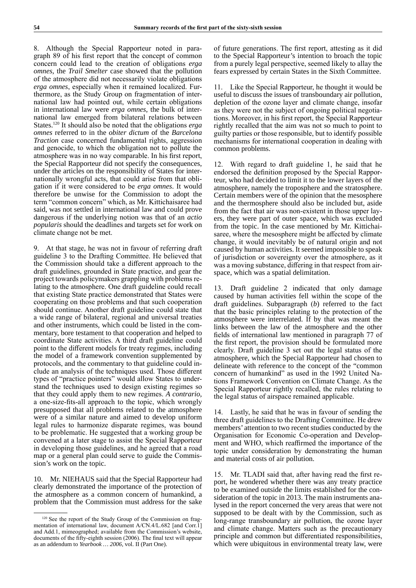8. Although the Special Rapporteur noted in paragraph 89 of his first report that the concept of common concern could lead to the creation of obligations *erga omnes*, the *Trail Smelter* case showed that the pollution of the atmosphere did not necessarily violate obligations *erga omnes*, especially when it remained localized. Furthermore, as the Study Group on fragmentation of international law had pointed out, while certain obligations in international law were *erga omnes*, the bulk of international law emerged from bilateral relations between States.120 It should also be noted that the obligations *erga omnes* referred to in the *obiter dictum* of the *Barcelona Traction* case concerned fundamental rights, aggression and genocide, to which the obligation not to pollute the atmosphere was in no way comparable. In his first report, the Special Rapporteur did not specify the consequences, under the articles on the responsibility of States for internationally wrongful acts, that could arise from that obligation if it were considered to be *erga omnes*. It would therefore be unwise for the Commission to adopt the term "common concern" which, as Mr. Kittichaisaree had said, was not settled in international law and could prove dangerous if the underlying notion was that of an *actio popularis* should the deadlines and targets set for work on climate change not be met.

9. At that stage, he was not in favour of referring draft guideline 3 to the Drafting Committee. He believed that the Commission should take a different approach to the draft guidelines, grounded in State practice, and gear the project towards policymakers grappling with problems relating to the atmosphere. One draft guideline could recall that existing State practice demonstrated that States were cooperating on those problems and that such cooperation should continue. Another draft guideline could state that a wide range of bilateral, regional and universal treaties and other instruments, which could be listed in the commentary, bore testament to that cooperation and helped to coordinate State activities. A third draft guideline could point to the different models for treaty regimes, including the model of a framework convention supplemented by protocols, and the commentary to that guideline could include an analysis of the techniques used. Those different types of "practice pointers" would allow States to understand the techniques used to design existing regimes so that they could apply them to new regimes. *A contrario*, a one-size-fits-all approach to the topic, which wrongly presupposed that all problems related to the atmosphere were of a similar nature and aimed to develop uniform legal rules to harmonize disparate regimes, was bound to be problematic. He suggested that a working group be convened at a later stage to assist the Special Rapporteur in developing those guidelines, and he agreed that a road map or a general plan could serve to guide the Commission's work on the topic.

10. Mr. NIEHAUS said that the Special Rapporteur had clearly demonstrated the importance of the protection of the atmosphere as a common concern of humankind, a problem that the Commission must address for the sake of future generations. The first report, attesting as it did to the Special Rapporteur's intention to broach the topic from a purely legal perspective, seemed likely to allay the fears expressed by certain States in the Sixth Committee.

11. Like the Special Rapporteur, he thought it would be useful to discuss the issues of transboundary air pollution, depletion of the ozone layer and climate change, insofar as they were not the subject of ongoing political negotiations. Moreover, in his first report, the Special Rapporteur rightly recalled that the aim was not so much to point to guilty parties or those responsible, but to identify possible mechanisms for international cooperation in dealing with common problems.

12. With regard to draft guideline 1, he said that he endorsed the definition proposed by the Special Rapporteur, who had decided to limit it to the lower layers of the atmosphere, namely the troposphere and the stratosphere. Certain members were of the opinion that the mesosphere and the thermosphere should also be included but, aside from the fact that air was non-existent in those upper layers, they were part of outer space, which was excluded from the topic. In the case mentioned by Mr. Kittichaisaree, where the mesosphere might be affected by climate change, it would inevitably be of natural origin and not caused by human activities. It seemed impossible to speak of jurisdiction or sovereignty over the atmosphere, as it was a moving substance, differing in that respect from airspace, which was a spatial delimitation.

13. Draft guideline 2 indicated that only damage caused by human activities fell within the scope of the draft guidelines. Subparagraph (*b*) referred to the fact that the basic principles relating to the protection of the atmosphere were interrelated. If by that was meant the links between the law of the atmosphere and the other fields of international law mentioned in paragraph 77 of the first report, the provision should be formulated more clearly. Draft guideline 3 set out the legal status of the atmosphere, which the Special Rapporteur had chosen to delineate with reference to the concept of the "common concern of humankind" as used in the 1992 United Nations Framework Convention on Climate Change. As the Special Rapporteur rightly recalled, the rules relating to the legal status of airspace remained applicable.

14. Lastly, he said that he was in favour of sending the three draft guidelines to the Drafting Committee. He drew members' attention to two recent studies conducted by the Organisation for Economic Co-operation and Development and WHO, which reaffirmed the importance of the topic under consideration by demonstrating the human and material costs of air pollution.

15. Mr. TLADI said that, after having read the first report, he wondered whether there was any treaty practice to be examined outside the limits established for the consideration of the topic in 2013. The main instruments analysed in the report concerned the very areas that were not supposed to be dealt with by the Commission, such as long-range transboundary air pollution, the ozone layer and climate change. Matters such as the precautionary principle and common but differentiated responsibilities, which were ubiquitous in environmental treaty law, were

<sup>120</sup> See the report of the Study Group of the Commission on fragmentation of international law, document A/CN.4/L.682 [and Corr.1] and Add.1, mimeographed; available from the Commission's website, documents of the fifty-eighth session (2006). The final text will appear as an addendum to *Yearbook … 2006*, vol. II (Part One).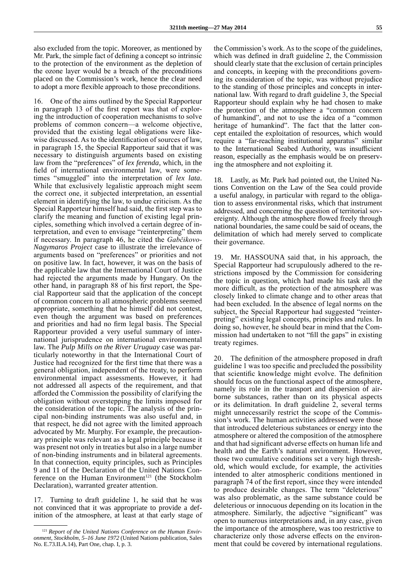also excluded from the topic. Moreover, as mentioned by Mr. Park, the simple fact of defining a concept so intrinsic to the protection of the environment as the depletion of the ozone layer would be a breach of the preconditions placed on the Commission's work, hence the clear need to adopt a more flexible approach to those preconditions.

16. One of the aims outlined by the Special Rapporteur in paragraph 13 of the first report was that of exploring the introduction of cooperation mechanisms to solve problems of common concern—a welcome objective, provided that the existing legal obligations were likewise discussed. As to the identification of sources of law, in paragraph 15, the Special Rapporteur said that it was necessary to distinguish arguments based on existing law from the "preferences" of *lex ferenda*, which, in the field of international environmental law, were sometimes "smuggled" into the interpretation of *lex lata*. While that exclusively legalistic approach might seem the correct one, it subjected interpretation, an essential element in identifying the law, to undue criticism. As the Special Rapporteur himself had said, the first step was to clarify the meaning and function of existing legal principles, something which involved a certain degree of interpretation, and even to envisage "reinterpreting" them if necessary. In paragraph 46, he cited the *Gabčikovo-Nagymaros Project* case to illustrate the irrelevance of arguments based on "preferences" or priorities and not on positive law. In fact, however, it was on the basis of the applicable law that the International Court of Justice had rejected the arguments made by Hungary. On the other hand, in paragraph 88 of his first report, the Special Rapporteur said that the application of the concept of common concern to all atmospheric problems seemed appropriate, something that he himself did not contest, even though the argument was based on preferences and priorities and had no firm legal basis. The Special Rapporteur provided a very useful summary of international jurisprudence on international environmental law. The *Pulp Mills on the River Uruguay* case was particularly noteworthy in that the International Court of Justice had recognized for the first time that there was a general obligation, independent of the treaty, to perform environmental impact assessments. However, it had not addressed all aspects of the requirement, and that afforded the Commission the possibility of clarifying the obligation without overstepping the limits imposed for the consideration of the topic. The analysis of the principal non-binding instruments was also useful and, in that respect, he did not agree with the limited approach advocated by Mr. Murphy. For example, the precautionary principle was relevant as a legal principle because it was present not only in treaties but also in a large number of non-binding instruments and in bilateral agreements. In that connection, equity principles, such as Principles 9 and 11 of the Declaration of the United Nations Conference on the Human Environment<sup>121</sup> (the Stockholm Declaration), warranted greater attention.

17. Turning to draft guideline 1, he said that he was not convinced that it was appropriate to provide a definition of the atmosphere, at least at that early stage of the Commission's work. As to the scope of the guidelines, which was defined in draft guideline 2, the Commission should clearly state that the exclusion of certain principles and concepts, in keeping with the preconditions governing its consideration of the topic, was without prejudice to the standing of those principles and concepts in international law. With regard to draft guideline 3, the Special Rapporteur should explain why he had chosen to make the protection of the atmosphere a "common concern of humankind", and not to use the idea of a "common heritage of humankind". The fact that the latter concept entailed the exploitation of resources, which would require a "far-reaching institutional apparatus" similar to the International Seabed Authority, was insufficient reason, especially as the emphasis would be on preserving the atmosphere and not exploiting it.

18. Lastly, as Mr. Park had pointed out, the United Nations Convention on the Law of the Sea could provide a useful analogy, in particular with regard to the obligation to assess environmental risks, which that instrument addressed, and concerning the question of territorial sovereignty. Although the atmosphere flowed freely through national boundaries, the same could be said of oceans, the delimitation of which had merely served to complicate their governance.

19. Mr. HASSOUNA said that, in his approach, the Special Rapporteur had scrupulously adhered to the restrictions imposed by the Commission for considering the topic in question, which had made his task all the more difficult, as the protection of the atmosphere was closely linked to climate change and to other areas that had been excluded. In the absence of legal norms on the subject, the Special Rapporteur had suggested "reinterpreting" existing legal concepts, principles and rules. In doing so, however, he should bear in mind that the Commission had undertaken to not "fill the gaps" in existing treaty regimes.

20. The definition of the atmosphere proposed in draft guideline 1 was too specific and precluded the possibility that scientific knowledge might evolve. The definition should focus on the functional aspect of the atmosphere, namely its role in the transport and dispersion of airborne substances, rather than on its physical aspects or its delimitation. In draft guideline 2, several terms might unnecessarily restrict the scope of the Commission's work. The human activities addressed were those that introduced deleterious substances or energy into the atmosphere or altered the composition of the atmosphere and that had significant adverse effects on human life and health and the Earth's natural environment. However, those two cumulative conditions set a very high threshold, which would exclude, for example, the activities intended to alter atmospheric conditions mentioned in paragraph 74 of the first report, since they were intended to produce desirable changes. The term "deleterious" was also problematic, as the same substance could be deleterious or innocuous depending on its location in the atmosphere. Similarly, the adjective "significant" was open to numerous interpretations and, in any case, given the importance of the atmosphere, was too restrictive to characterize only those adverse effects on the environment that could be covered by international regulations.

<sup>121</sup> *Report of the United Nations Conference on the Human Environment, Stockholm, 5–16 June 1972* (United Nations publication, Sales No. E.73.II.A.14), Part One, chap. I, p. 3.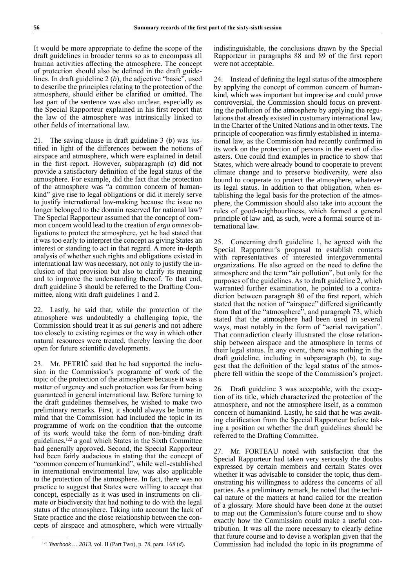It would be more appropriate to define the scope of the draft guidelines in broader terms so as to encompass all human activities affecting the atmosphere. The concept of protection should also be defined in the draft guidelines. In draft guideline 2 (*b*), the adjective "basic", used to describe the principles relating to the protection of the atmosphere, should either be clarified or omitted. The last part of the sentence was also unclear, especially as the Special Rapporteur explained in his first report that the law of the atmosphere was intrinsically linked to other fields of international law.

21. The saving clause in draft guideline 3 (*b*) was justified in light of the differences between the notions of airspace and atmosphere, which were explained in detail in the first report. However, subparagraph (*a*) did not provide a satisfactory definition of the legal status of the atmosphere. For example, did the fact that the protection of the atmosphere was "a common concern of humankind" give rise to legal obligations or did it merely serve to justify international law-making because the issue no longer belonged to the domain reserved for national law? The Special Rapporteur assumed that the concept of common concern would lead to the creation of *erga omnes* obligations to protect the atmosphere, yet he had stated that it was too early to interpret the concept as giving States an interest or standing to act in that regard. A more in-depth analysis of whether such rights and obligations existed in international law was necessary, not only to justify the inclusion of that provision but also to clarify its meaning and to improve the understanding thereof. To that end, draft guideline 3 should be referred to the Drafting Committee, along with draft guidelines 1 and 2.

22. Lastly, he said that, while the protection of the atmosphere was undoubtedly a challenging topic, the Commission should treat it as *sui generis* and not adhere too closely to existing regimes or the way in which other natural resources were treated, thereby leaving the door open for future scientific developments.

23. Mr. PETRIČ said that he had supported the inclusion in the Commission's programme of work of the topic of the protection of the atmosphere because it was a matter of urgency and such protection was far from being guaranteed in general international law. Before turning to the draft guidelines themselves, he wished to make two preliminary remarks. First, it should always be borne in mind that the Commission had included the topic in its programme of work on the condition that the outcome of its work would take the form of non-binding draft guidelines,<sup>122</sup> a goal which States in the Sixth Committee had generally approved. Second, the Special Rapporteur had been fairly audacious in stating that the concept of "common concern of humankind", while well-established in international environmental law, was also applicable to the protection of the atmosphere. In fact, there was no practice to suggest that States were willing to accept that concept, especially as it was used in instruments on climate or biodiversity that had nothing to do with the legal status of the atmosphere. Taking into account the lack of State practice and the close relationship between the concepts of airspace and atmosphere, which were virtually

indistinguishable, the conclusions drawn by the Special Rapporteur in paragraphs 88 and 89 of the first report were not acceptable.

24. Instead of defining the legal status of the atmosphere by applying the concept of common concern of humankind, which was important but imprecise and could prove controversial, the Commission should focus on preventing the pollution of the atmosphere by applying the regulations that already existed in customary international law, in the Charter of the United Nations and in other texts. The principle of cooperation was firmly established in international law, as the Commission had recently confirmed in its work on the protection of persons in the event of disasters. One could find examples in practice to show that States, which were already bound to cooperate to prevent climate change and to preserve biodiversity, were also bound to cooperate to protect the atmosphere, whatever its legal status. In addition to that obligation, when establishing the legal basis for the protection of the atmosphere, the Commission should also take into account the rules of good-neighbourliness, which formed a general principle of law and, as such, were a formal source of international law.

25. Concerning draft guideline 1, he agreed with the Special Rapporteur's proposal to establish contacts with representatives of interested intergovernmental organizations. He also agreed on the need to define the atmosphere and the term "air pollution", but only for the purposes of the guidelines. As to draft guideline 2, which warranted further examination, he pointed to a contradiction between paragraph 80 of the first report, which stated that the notion of "airspace" differed significantly from that of the "atmosphere", and paragraph 73, which stated that the atmosphere had been used in several ways, most notably in the form of "aerial navigation". That contradiction clearly illustrated the close relationship between airspace and the atmosphere in terms of their legal status. In any event, there was nothing in the draft guideline, including in subparagraph (*b*), to suggest that the definition of the legal status of the atmosphere fell within the scope of the Commission's project.

26. Draft guideline 3 was acceptable, with the exception of its title, which characterized the protection of the atmosphere, and not the atmosphere itself, as a common concern of humankind. Lastly, he said that he was awaiting clarification from the Special Rapporteur before taking a position on whether the draft guidelines should be referred to the Drafting Committee.

27. Mr. FORTEAU noted with satisfaction that the Special Rapporteur had taken very seriously the doubts expressed by certain members and certain States over whether it was advisable to consider the topic, thus demonstrating his willingness to address the concerns of all parties. As a preliminary remark, he noted that the technical nature of the matters at hand called for the creation of a glossary. More should have been done at the outset to map out the Commission's future course and to show exactly how the Commission could make a useful contribution. It was all the more necessary to clearly define that future course and to devise a workplan given that the Commission had included the topic in its programme of

<sup>122</sup> *Yearbook … 2013*, vol. II (Part Two), p. 78, para. 168 (*d*).